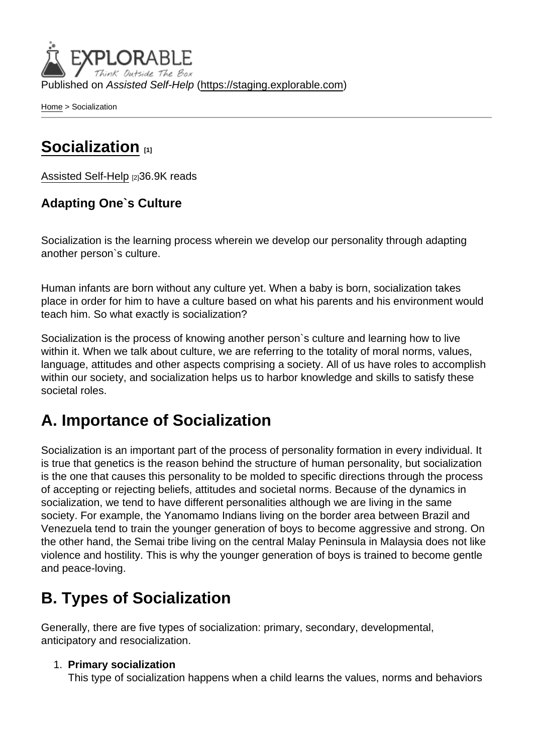Published on Assisted Self-Help [\(https://staging.explorable.com](https://staging.explorable.com))

[Home](https://staging.explorable.com/en) > Socialization

### [Socialization](https://staging.explorable.com/en/socialization) [1]

[Assisted Self-Help](https://staging.explorable.com/en) [2]36.9K reads

Adapting One`s Culture

Socialization is the learning process wherein we develop our personality through adapting another person`s culture.

Human infants are born without any culture yet. When a baby is born, socialization takes place in order for him to have a culture based on what his parents and his environment would teach him. So what exactly is socialization?

Socialization is the process of knowing another person`s culture and learning how to live within it. When we talk about culture, we are referring to the totality of moral norms, values, language, attitudes and other aspects comprising a society. All of us have roles to accomplish within our society, and socialization helps us to harbor knowledge and skills to satisfy these societal roles.

## A. Importance of Socialization

Socialization is an important part of the process of personality formation in every individual. It is true that genetics is the reason behind the structure of human personality, but socialization is the one that causes this personality to be molded to specific directions through the process of accepting or rejecting beliefs, attitudes and societal norms. Because of the dynamics in socialization, we tend to have different personalities although we are living in the same society. For example, the Yanomamo Indians living on the border area between Brazil and Venezuela tend to train the younger generation of boys to become aggressive and strong. On the other hand, the Semai tribe living on the central Malay Peninsula in Malaysia does not like violence and hostility. This is why the younger generation of boys is trained to become gentle and peace-loving.

# B. Types of Socialization

Generally, there are five types of socialization: primary, secondary, developmental, anticipatory and resocialization.

1. Primary socialization

This type of socialization happens when a child learns the values, norms and behaviors